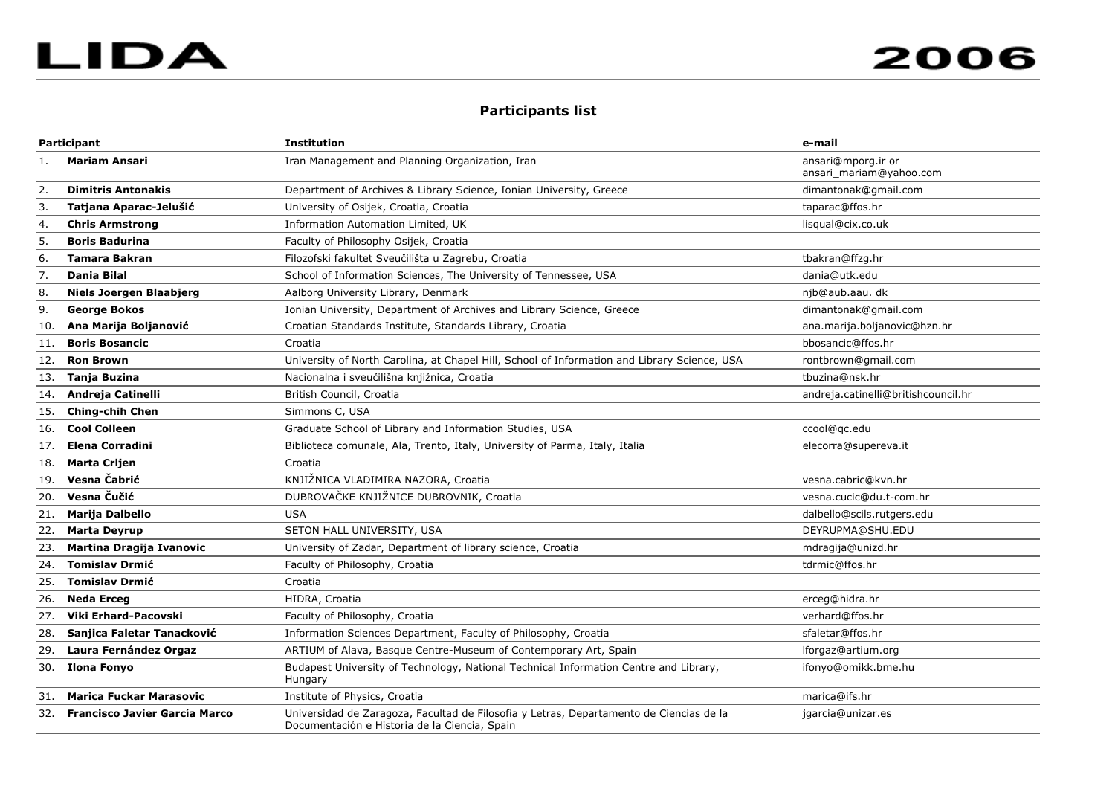## **Participants list**

| Participant |                                      | <b>Institution</b>                                                                                                                       | e-mail                                        |
|-------------|--------------------------------------|------------------------------------------------------------------------------------------------------------------------------------------|-----------------------------------------------|
| 1.          | Mariam Ansari                        | Iran Management and Planning Organization, Iran                                                                                          | ansari@mporg.ir or<br>ansari_mariam@yahoo.com |
| 2.          | <b>Dimitris Antonakis</b>            | Department of Archives & Library Science, Ionian University, Greece                                                                      | dimantonak@gmail.com                          |
| 3.          | Tatjana Aparac-Jelušić               | University of Osijek, Croatia, Croatia                                                                                                   | taparac@ffos.hr                               |
| 4.          | <b>Chris Armstrong</b>               | Information Automation Limited, UK                                                                                                       | lisqual@cix.co.uk                             |
| 5.          | <b>Boris Badurina</b>                | Faculty of Philosophy Osijek, Croatia                                                                                                    |                                               |
| 6.          | Tamara Bakran                        | Filozofski fakultet Sveučilišta u Zagrebu, Croatia                                                                                       | tbakran@ffzg.hr                               |
| 7.          | Dania Bilal                          | School of Information Sciences, The University of Tennessee, USA                                                                         | dania@utk.edu                                 |
| 8.          | <b>Niels Joergen Blaabjerg</b>       | Aalborg University Library, Denmark                                                                                                      | njb@aub.aau. dk                               |
| 9.          | <b>George Bokos</b>                  | Ionian University, Department of Archives and Library Science, Greece                                                                    | dimantonak@gmail.com                          |
| 10.         | Ana Marija Boljanović                | Croatian Standards Institute, Standards Library, Croatia                                                                                 | ana.marija.boljanovic@hzn.hr                  |
| 11.         | <b>Boris Bosancic</b>                | Croatia                                                                                                                                  | bbosancic@ffos.hr                             |
| 12.         | <b>Ron Brown</b>                     | University of North Carolina, at Chapel Hill, School of Information and Library Science, USA                                             | rontbrown@gmail.com                           |
| 13.         | <b>Tanja Buzina</b>                  | Nacionalna i sveučilišna knjižnica, Croatia                                                                                              | tbuzina@nsk.hr                                |
| 14.         | Andreja Catinelli                    | British Council, Croatia                                                                                                                 | andreja.catinelli@britishcouncil.hr           |
| 15.         | <b>Ching-chih Chen</b>               | Simmons C, USA                                                                                                                           |                                               |
| 16.         | <b>Cool Colleen</b>                  | Graduate School of Library and Information Studies, USA                                                                                  | ccool@qc.edu                                  |
| 17.         | <b>Elena Corradini</b>               | Biblioteca comunale, Ala, Trento, Italy, University of Parma, Italy, Italia                                                              | elecorra@supereva.it                          |
| 18.         | <b>Marta Crijen</b>                  | Croatia                                                                                                                                  |                                               |
| 19.         | Vesna Čabrić                         | KNJIŽNICA VLADIMIRA NAZORA, Croatia                                                                                                      | vesna.cabric@kvn.hr                           |
| 20.         | Vesna Čučić                          | DUBROVAČKE KNJIŽNICE DUBROVNIK, Croatia                                                                                                  | vesna.cucic@du.t-com.hr                       |
| 21.         | <b>Marija Dalbello</b>               | <b>USA</b>                                                                                                                               | dalbello@scils.rutgers.edu                    |
| 22.         | <b>Marta Deyrup</b>                  | SETON HALL UNIVERSITY, USA                                                                                                               | DEYRUPMA@SHU.EDU                              |
| 23.         | <b>Martina Dragija Ivanovic</b>      | University of Zadar, Department of library science, Croatia                                                                              | mdragija@unizd.hr                             |
| 24.         | <b>Tomislav Drmić</b>                | Faculty of Philosophy, Croatia                                                                                                           | tdrmic@ffos.hr                                |
| 25.         | <b>Tomislav Drmić</b>                | Croatia                                                                                                                                  |                                               |
| 26.         | <b>Neda Erceg</b>                    | HIDRA, Croatia                                                                                                                           | erceg@hidra.hr                                |
| 27.         | Viki Erhard-Pacovski                 | Faculty of Philosophy, Croatia                                                                                                           | verhard@ffos.hr                               |
| 28.         | Sanjica Faletar Tanacković           | Information Sciences Department, Faculty of Philosophy, Croatia                                                                          | sfaletar@ffos.hr                              |
| 29.         | Laura Fernández Orgaz                | ARTIUM of Alava, Basque Centre-Museum of Contemporary Art, Spain                                                                         | lforgaz@artium.org                            |
| 30.         | <b>Ilona Fonyo</b>                   | Budapest University of Technology, National Technical Information Centre and Library,<br>Hungary                                         | ifonyo@omikk.bme.hu                           |
| 31.         | <b>Marica Fuckar Marasovic</b>       | Institute of Physics, Croatia                                                                                                            | marica@ifs.hr                                 |
| 32.         | <b>Francisco Javier García Marco</b> | Universidad de Zaragoza, Facultad de Filosofía y Letras, Departamento de Ciencias de la<br>Documentación e Historia de la Ciencia, Spain | jgarcia@unizar.es                             |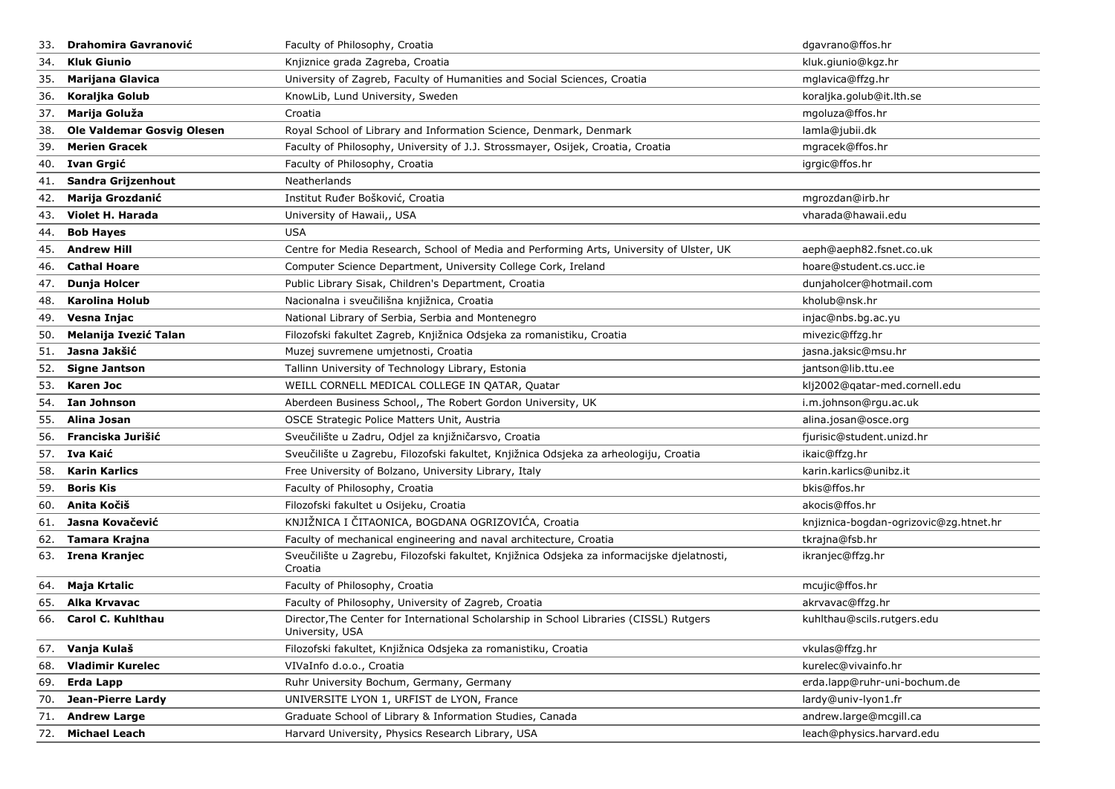| 33. | <b>Drahomira Gavranović</b>       | Faculty of Philosophy, Croatia                                                                            | dgavrano@ffos.hr                       |
|-----|-----------------------------------|-----------------------------------------------------------------------------------------------------------|----------------------------------------|
| 34. | <b>Kluk Giunio</b>                | Knjiznice grada Zagreba, Croatia                                                                          | kluk.giunio@kgz.hr                     |
| 35. | <b>Marijana Glavica</b>           | University of Zagreb, Faculty of Humanities and Social Sciences, Croatia                                  | mglavica@ffzg.hr                       |
| 36. | Koraljka Golub                    | KnowLib, Lund University, Sweden                                                                          | koraljka.golub@it.lth.se               |
| 37. | Marija Goluža                     | Croatia                                                                                                   | mgoluza@ffos.hr                        |
| 38. | <b>Ole Valdemar Gosvig Olesen</b> | Royal School of Library and Information Science, Denmark, Denmark                                         | lamla@jubii.dk                         |
| 39. | <b>Merien Gracek</b>              | Faculty of Philosophy, University of J.J. Strossmayer, Osijek, Croatia, Croatia                           | mgracek@ffos.hr                        |
| 40. | Ivan Grgić                        | Faculty of Philosophy, Croatia                                                                            | igrgic@ffos.hr                         |
| 41. | Sandra Grijzenhout                | Neatherlands                                                                                              |                                        |
| 42. | Marija Grozdanić                  | Institut Ruđer Bošković, Croatia                                                                          | mgrozdan@irb.hr                        |
| 43. | Violet H. Harada                  | University of Hawaii,, USA                                                                                | vharada@hawaii.edu                     |
| 44. | <b>Bob Hayes</b>                  | <b>USA</b>                                                                                                |                                        |
| 45. | <b>Andrew Hill</b>                | Centre for Media Research, School of Media and Performing Arts, University of Ulster, UK                  | aeph@aeph82.fsnet.co.uk                |
| 46. | <b>Cathal Hoare</b>               | Computer Science Department, University College Cork, Ireland                                             | hoare@student.cs.ucc.ie                |
| 47. | Dunja Holcer                      | Public Library Sisak, Children's Department, Croatia                                                      | dunjaholcer@hotmail.com                |
| 48. | <b>Karolina Holub</b>             | Nacionalna i sveučilišna knjižnica, Croatia                                                               | kholub@nsk.hr                          |
| 49. | Vesna Injac                       | National Library of Serbia, Serbia and Montenegro                                                         | injac@nbs.bg.ac.yu                     |
| 50. | Melanija Ivezić Talan             | Filozofski fakultet Zagreb, Knjižnica Odsjeka za romanistiku, Croatia                                     | mivezic@ffzg.hr                        |
| 51. | Jasna Jakšić                      | Muzej suvremene umjetnosti, Croatia                                                                       | jasna.jaksic@msu.hr                    |
| 52. | <b>Signe Jantson</b>              | Tallinn University of Technology Library, Estonia                                                         | jantson@lib.ttu.ee                     |
| 53. | Karen Joc                         | WEILL CORNELL MEDICAL COLLEGE IN QATAR, Quatar                                                            | klj2002@qatar-med.cornell.edu          |
| 54. | Ian Johnson                       | Aberdeen Business School,, The Robert Gordon University, UK                                               | i.m.johnson@rgu.ac.uk                  |
| 55. | Alina Josan                       | OSCE Strategic Police Matters Unit, Austria                                                               | alina.josan@osce.org                   |
| 56. | Franciska Jurišić                 | Sveučilište u Zadru, Odjel za knjižničarsvo, Croatia                                                      | fjurisic@student.unizd.hr              |
|     | 57. Iva Kaić                      | Sveučilište u Zagrebu, Filozofski fakultet, Knjižnica Odsjeka za arheologiju, Croatia                     | ikaic@ffzg.hr                          |
| 58. | <b>Karin Karlics</b>              | Free University of Bolzano, University Library, Italy                                                     | karin.karlics@unibz.it                 |
| 59. | <b>Boris Kis</b>                  | Faculty of Philosophy, Croatia                                                                            | bkis@ffos.hr                           |
| 60. | Anita Kočiš                       | Filozofski fakultet u Osijeku, Croatia                                                                    | akocis@ffos.hr                         |
| 61. | Jasna Kovačević                   | KNJIŽNICA I ČITAONICA, BOGDANA OGRIZOVIĆA, Croatia                                                        | knjiznica-bogdan-ogrizovic@zg.htnet.hr |
| 62. | Tamara Krajna                     | Faculty of mechanical engineering and naval architecture, Croatia                                         | tkrajna@fsb.hr                         |
|     | 63. Irena Kranjec                 | Sveučilište u Zagrebu, Filozofski fakultet, Knjižnica Odsjeka za informacijske djelatnosti,<br>Croatia    | ikranjec@ffzg.hr                       |
| 64. | Maja Krtalic                      | Faculty of Philosophy, Croatia                                                                            | mcujic@ffos.hr                         |
| 65. | Alka Krvavac                      | Faculty of Philosophy, University of Zagreb, Croatia                                                      | akrvavac@ffzg.hr                       |
|     | 66. Carol C. Kuhlthau             | Director, The Center for International Scholarship in School Libraries (CISSL) Rutgers<br>University, USA | kuhlthau@scils.rutgers.edu             |
|     | 67. Vanja Kulaš                   | Filozofski fakultet, Knjižnica Odsjeka za romanistiku, Croatia                                            | vkulas@ffzg.hr                         |
| 68. | <b>Vladimir Kurelec</b>           | VIVaInfo d.o.o., Croatia                                                                                  | kurelec@vivainfo.hr                    |
| 69. | Erda Lapp                         | Ruhr University Bochum, Germany, Germany                                                                  | erda.lapp@ruhr-uni-bochum.de           |
| 70. | <b>Jean-Pierre Lardy</b>          | UNIVERSITE LYON 1, URFIST de LYON, France                                                                 | lardy@univ-lyon1.fr                    |
| 71. | <b>Andrew Large</b>               | Graduate School of Library & Information Studies, Canada                                                  | andrew.large@mcgill.ca                 |
|     | 72. Michael Leach                 | Harvard University, Physics Research Library, USA                                                         | leach@physics.harvard.edu              |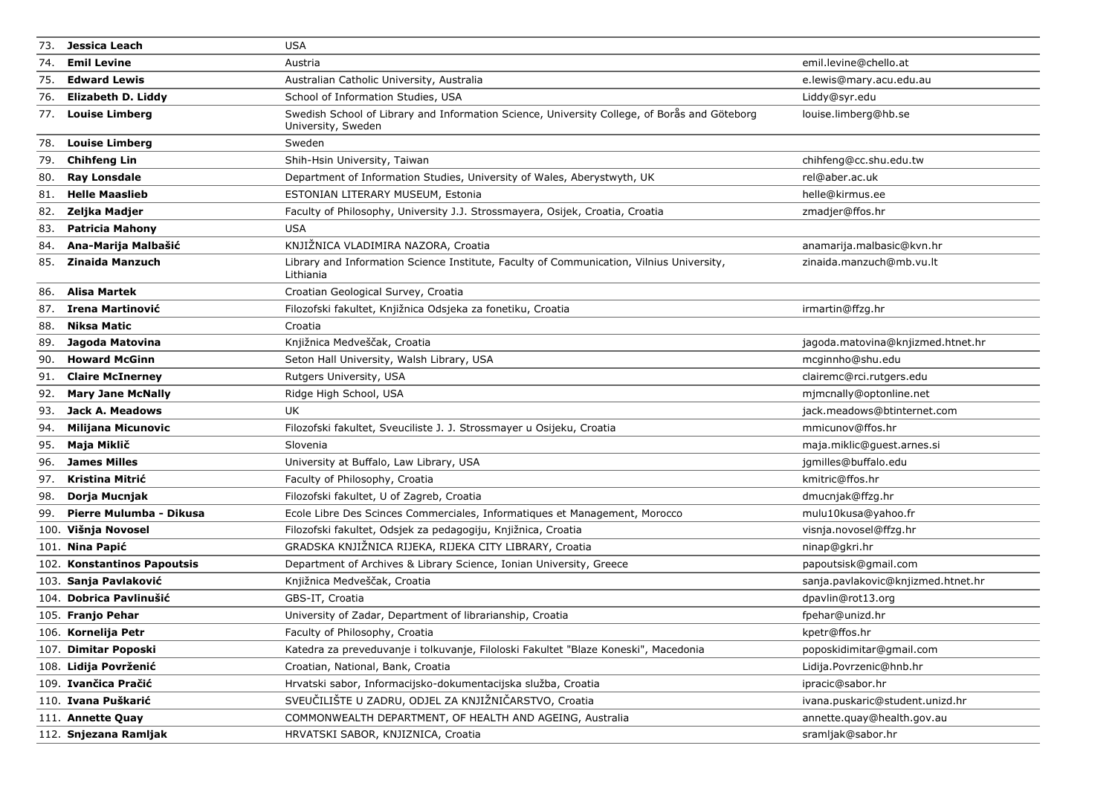| 73. | Jessica Leach               | <b>USA</b>                                                                                                         |                                    |
|-----|-----------------------------|--------------------------------------------------------------------------------------------------------------------|------------------------------------|
| 74. | <b>Emil Levine</b>          | Austria                                                                                                            | emil.levine@chello.at              |
| 75. | <b>Edward Lewis</b>         | Australian Catholic University, Australia                                                                          | e.lewis@mary.acu.edu.au            |
| 76. | Elizabeth D. Liddy          | School of Information Studies, USA                                                                                 | Liddy@syr.edu                      |
| 77. | <b>Louise Limberg</b>       | Swedish School of Library and Information Science, University College, of Borås and Göteborg<br>University, Sweden | louise.limberg@hb.se               |
| 78. | <b>Louise Limberg</b>       | Sweden                                                                                                             |                                    |
| 79. | <b>Chihfeng Lin</b>         | Shih-Hsin University, Taiwan                                                                                       | chihfeng@cc.shu.edu.tw             |
| 80. | <b>Ray Lonsdale</b>         | Department of Information Studies, University of Wales, Aberystwyth, UK                                            | rel@aber.ac.uk                     |
| 81. | <b>Helle Maaslieb</b>       | ESTONIAN LITERARY MUSEUM, Estonia                                                                                  | helle@kirmus.ee                    |
| 82. | Zeljka Madjer               | Faculty of Philosophy, University J.J. Strossmayera, Osijek, Croatia, Croatia                                      | zmadjer@ffos.hr                    |
| 83. | <b>Patricia Mahony</b>      | <b>USA</b>                                                                                                         |                                    |
| 84. | Ana-Marija Malbašić         | KNJIŽNICA VLADIMIRA NAZORA, Croatia                                                                                | anamarija.malbasic@kvn.hr          |
| 85. | <b>Zinaida Manzuch</b>      | Library and Information Science Institute, Faculty of Communication, Vilnius University,<br>Lithiania              | zinaida.manzuch@mb.vu.lt           |
| 86. | Alisa Martek                | Croatian Geological Survey, Croatia                                                                                |                                    |
| 87. | Irena Martinović            | Filozofski fakultet, Knjižnica Odsjeka za fonetiku, Croatia                                                        | irmartin@ffzg.hr                   |
| 88. | Niksa Matic                 | Croatia                                                                                                            |                                    |
| 89. | Jagoda Matovina             | Knjižnica Medveščak, Croatia                                                                                       | jagoda.matovina@knjizmed.htnet.hr  |
| 90. | <b>Howard McGinn</b>        | Seton Hall University, Walsh Library, USA                                                                          | mcginnho@shu.edu                   |
| 91. | <b>Claire McInerney</b>     | Rutgers University, USA                                                                                            | clairemc@rci.rutgers.edu           |
| 92. | <b>Mary Jane McNally</b>    | Ridge High School, USA                                                                                             | mimcnally@optonline.net            |
| 93. | Jack A. Meadows             | <b>UK</b>                                                                                                          | jack.meadows@btinternet.com        |
| 94. | <b>Milijana Micunovic</b>   | Filozofski fakultet, Sveuciliste J. J. Strossmayer u Osijeku, Croatia                                              | mmicunov@ffos.hr                   |
| 95. | Maja Miklič                 | Slovenia                                                                                                           | maja.miklic@guest.arnes.si         |
| 96. | <b>James Milles</b>         | University at Buffalo, Law Library, USA                                                                            | jgmilles@buffalo.edu               |
| 97. | Kristina Mitrić             | Faculty of Philosophy, Croatia                                                                                     | kmitric@ffos.hr                    |
| 98. | Dorja Mucnjak               | Filozofski fakultet, U of Zagreb, Croatia                                                                          | dmucnjak@ffzg.hr                   |
| 99. | Pierre Mulumba - Dikusa     | Ecole Libre Des Scinces Commerciales, Informatiques et Management, Morocco                                         | mulu10kusa@yahoo.fr                |
|     | 100. Višnja Novosel         | Filozofski fakultet, Odsjek za pedagogiju, Knjižnica, Croatia                                                      | visnja.novosel@ffzg.hr             |
|     | 101. Nina Papić             | GRADSKA KNJIŽNICA RIJEKA, RIJEKA CITY LIBRARY, Croatia                                                             | ninap@gkri.hr                      |
|     | 102. Konstantinos Papoutsis | Department of Archives & Library Science, Ionian University, Greece                                                | papoutsisk@gmail.com               |
|     | 103. Sanja Pavlaković       | Knjižnica Medveščak, Croatia                                                                                       | sanja.pavlakovic@knjizmed.htnet.hr |
|     | 104. Dobrica Pavlinušić     | GBS-IT, Croatia                                                                                                    | dpavlin@rot13.org                  |
|     | 105. Franjo Pehar           | University of Zadar, Department of librarianship, Croatia                                                          | fpehar@unizd.hr                    |
|     | 106. Kornelija Petr         | Faculty of Philosophy, Croatia                                                                                     | kpetr@ffos.hr                      |
|     | 107. Dimitar Poposki        | Katedra za preveduvanje i tolkuvanje, Filoloski Fakultet "Blaze Koneski", Macedonia                                | poposkidimitar@gmail.com           |
|     | 108. Lidija Povrženić       | Croatian, National, Bank, Croatia                                                                                  | Lidija.Povrzenic@hnb.hr            |
|     | 109. Ivančica Pračić        | Hrvatski sabor, Informacijsko-dokumentacijska služba, Croatia                                                      | ipracic@sabor.hr                   |
|     | 110. Ivana Puškarić         | SVEUČILIŠTE U ZADRU, ODJEL ZA KNJIŽNIČARSTVO, Croatia                                                              | ivana.puskaric@student.unizd.hr    |
|     | 111. Annette Quay           | COMMONWEALTH DEPARTMENT, OF HEALTH AND AGEING, Australia                                                           | annette.quay@health.gov.au         |
|     | 112. Snjezana Ramljak       | HRVATSKI SABOR, KNJIZNICA, Croatia                                                                                 | sramljak@sabor.hr                  |